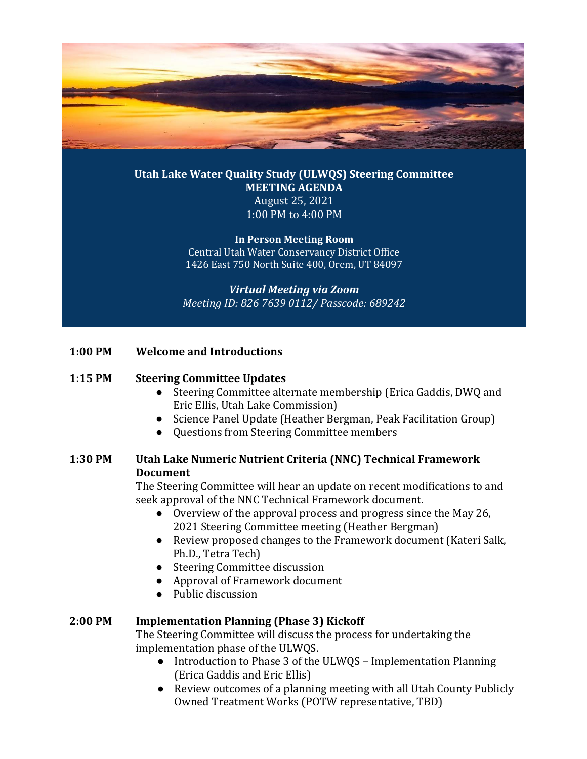

**Utah Lake Water Quality Study (ULWQS) Steering Committee MEETING AGENDA** August 25, 2021 1:00 PM to 4:00 PM

> **In Person Meeting Room** Central Utah Water Conservancy District Office 1426 East 750 North Suite 400, Orem, UT 84097

*Virtual Meeting via Zoom Meeting ID: 826 7639 0112/ Passcode: 689242*

#### **1:00 PM Welcome and Introductions**

#### **1:15 PM Steering Committee Updates**

- Steering Committee alternate membership (Erica Gaddis, DWQ and Eric Ellis, Utah Lake Commission)
- Science Panel Update (Heather Bergman, Peak Facilitation Group)
- Questions from Steering Committee members

# **1:30 PM Utah Lake Numeric Nutrient Criteria (NNC) Technical Framework Document**

The Steering Committee will hear an update on recent modifications to and seek approval of the NNC Technical Framework document.

- Overview of the approval process and progress since the May 26, 2021 Steering Committee meeting (Heather Bergman)
- Review proposed changes to the Framework document (Kateri Salk, Ph.D., Tetra Tech)
- Steering Committee discussion
- Approval of Framework document
- Public discussion

### **2:00 PM Implementation Planning (Phase 3) Kickoff**

The Steering Committee will discuss the process for undertaking the implementation phase of the ULWQS.

- Introduction to Phase 3 of the ULWQS Implementation Planning (Erica Gaddis and Eric Ellis)
- Review outcomes of a planning meeting with all Utah County Publicly Owned Treatment Works (POTW representative, TBD)